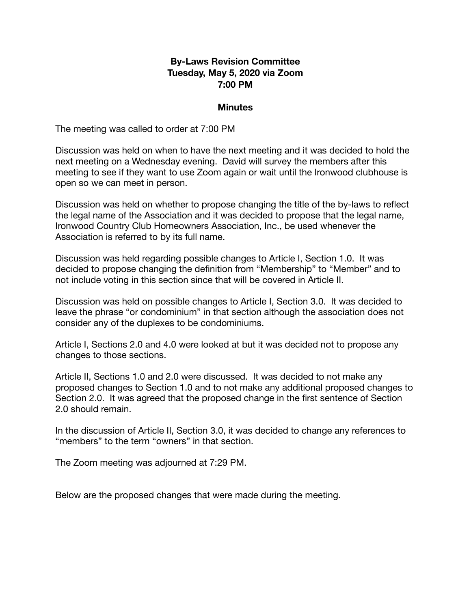#### **By-Laws Revision Committee Tuesday, May 5, 2020 via Zoom 7:00 PM**

#### **Minutes**

The meeting was called to order at 7:00 PM

Discussion was held on when to have the next meeting and it was decided to hold the next meeting on a Wednesday evening. David will survey the members after this meeting to see if they want to use Zoom again or wait until the Ironwood clubhouse is open so we can meet in person.

Discussion was held on whether to propose changing the title of the by-laws to reflect the legal name of the Association and it was decided to propose that the legal name, Ironwood Country Club Homeowners Association, Inc., be used whenever the Association is referred to by its full name.

Discussion was held regarding possible changes to Article I, Section 1.0. It was decided to propose changing the definition from "Membership" to "Member" and to not include voting in this section since that will be covered in Article II.

Discussion was held on possible changes to Article I, Section 3.0. It was decided to leave the phrase "or condominium" in that section although the association does not consider any of the duplexes to be condominiums.

Article I, Sections 2.0 and 4.0 were looked at but it was decided not to propose any changes to those sections.

Article II, Sections 1.0 and 2.0 were discussed. It was decided to not make any proposed changes to Section 1.0 and to not make any additional proposed changes to Section 2.0. It was agreed that the proposed change in the first sentence of Section 2.0 should remain.

In the discussion of Article II, Section 3.0, it was decided to change any references to "members" to the term "owners" in that section.

The Zoom meeting was adjourned at 7:29 PM.

Below are the proposed changes that were made during the meeting.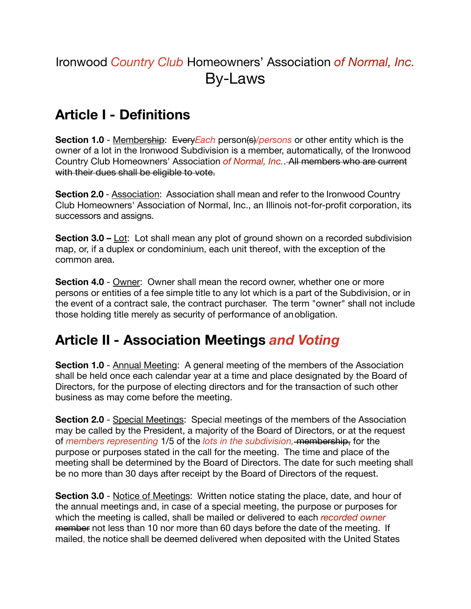# Ironwood *Country Club* Homeowners' Association *of Normal, Inc.* By-Laws

# **Article I - Definitions**

**Section 1.0** - Membership: Every Each person(s) /*persons* or other entity which is the owner of a lot in the Ironwood Subdivision is a member, automatically, of the Ironwood Country Club Homeowners' Association *of Normal, Inc.*. All members who are current with their dues shall be eligible to vote.

**Section 2.0** - Association: Association shall mean and refer to the Ironwood Country Club Homeowners' Association of Normal, Inc., an Illinois not-for-profit corporation, its successors and assigns.

**Section 3.0 –** Lot: Lot shall mean any plot of ground shown on a recorded subdivision map, or, if a duplex or condominium, each unit thereof, with the exception of the common area.

**Section 4.0** - Owner: Owner shall mean the record owner, whether one or more persons or entities of a fee simple title to any lot which is a part of the Subdivision, or in the event of a contract sale, the contract purchaser. The term "owner" shall not include those holding title merely as security of performance of anobligation.

### **Article II - Association Meetings** *and Voting*

**Section 1.0** - Annual Meeting: A general meeting of the members of the Association shall be held once each calendar year at a time and place designated by the Board of Directors, for the purpose of electing directors and for the transaction of such other business as may come before the meeting.

**Section 2.0** - Special Meetings: Special meetings of the members of the Association may be called by the President, a majority of the Board of Directors, or at the request of *members representing* 1/5 of the *lots in the subdivision,* membership, for the purpose or purposes stated in the call for the meeting. The time and place of the meeting shall be determined by the Board of Directors. The date for such meeting shall be no more than 30 days after receipt by the Board of Directors of the request.

**Section 3.0** - Notice of Meetings: Written notice stating the place, date, and hour of the annual meetings and, in case of a special meeting, the purpose or purposes for which the meeting is called, shall be mailed or delivered to each *recorded owner* member not less than 10 nor more than 60 days before the date of the meeting. If mailed, the notice shall be deemed delivered when deposited with the United States